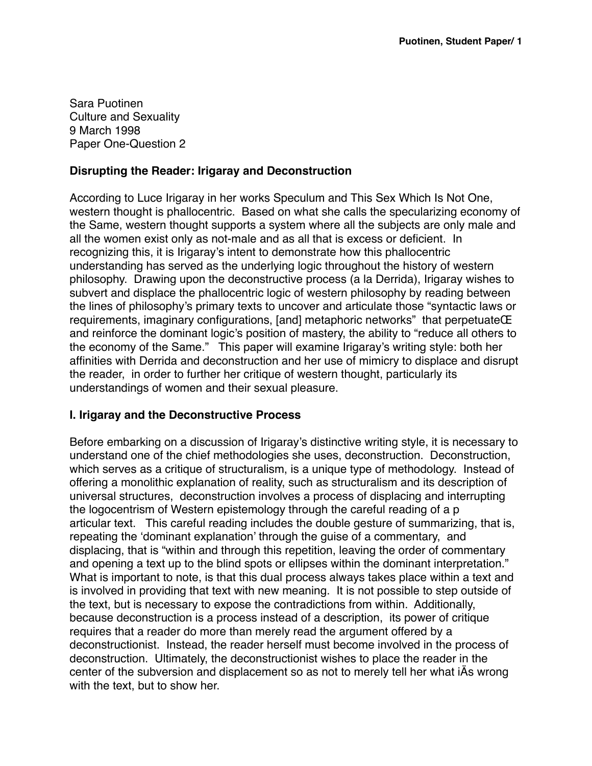Sara Puotinen Culture and Sexuality 9 March 1998 Paper One-Question 2

## **Disrupting the Reader: Irigaray and Deconstruction**

According to Luce Irigaray in her works Speculum and This Sex Which Is Not One, western thought is phallocentric. Based on what she calls the specularizing economy of the Same, western thought supports a system where all the subjects are only male and all the women exist only as not-male and as all that is excess or deficient. In recognizing this, it is Irigaray's intent to demonstrate how this phallocentric understanding has served as the underlying logic throughout the history of western philosophy. Drawing upon the deconstructive process (a la Derrida), Irigaray wishes to subvert and displace the phallocentric logic of western philosophy by reading between the lines of philosophy's primary texts to uncover and articulate those "syntactic laws or requirements, imaginary configurations, [and] metaphoric networks" that perpetuateŒ and reinforce the dominant logic's position of mastery, the ability to "reduce all others to the economy of the Same." This paper will examine Irigaray's writing style: both her affinities with Derrida and deconstruction and her use of mimicry to displace and disrupt the reader, in order to further her critique of western thought, particularly its understandings of women and their sexual pleasure.

## **I. Irigaray and the Deconstructive Process**

Before embarking on a discussion of Irigaray's distinctive writing style, it is necessary to understand one of the chief methodologies she uses, deconstruction. Deconstruction, which serves as a critique of structuralism, is a unique type of methodology. Instead of offering a monolithic explanation of reality, such as structuralism and its description of universal structures, deconstruction involves a process of displacing and interrupting the logocentrism of Western epistemology through the careful reading of a p articular text. This careful reading includes the double gesture of summarizing, that is, repeating the 'dominant explanation' through the guise of a commentary, and displacing, that is "within and through this repetition, leaving the order of commentary and opening a text up to the blind spots or ellipses within the dominant interpretation." What is important to note, is that this dual process always takes place within a text and is involved in providing that text with new meaning. It is not possible to step outside of the text, but is necessary to expose the contradictions from within. Additionally, because deconstruction is a process instead of a description, its power of critique requires that a reader do more than merely read the argument offered by a deconstructionist. Instead, the reader herself must become involved in the process of deconstruction. Ultimately, the deconstructionist wishes to place the reader in the center of the subversion and displacement so as not to merely tell her what iÄs wrong with the text, but to show her.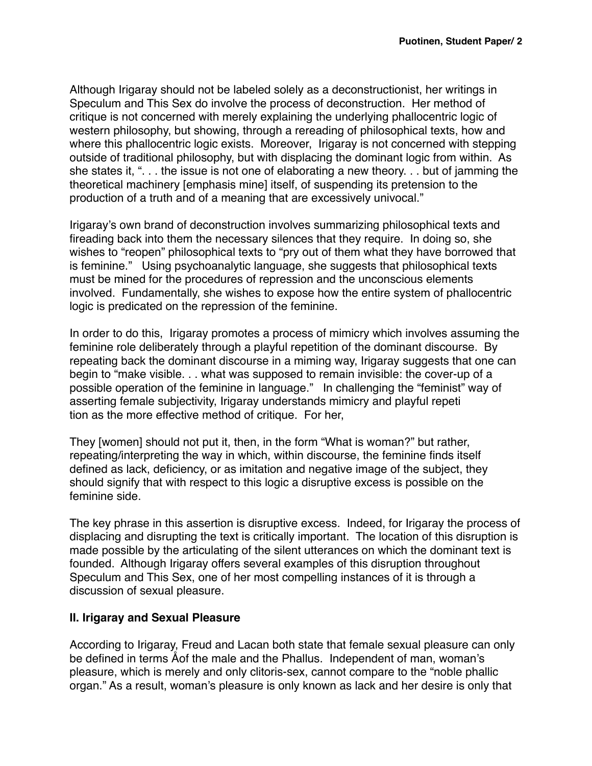Although Irigaray should not be labeled solely as a deconstructionist, her writings in Speculum and This Sex do involve the process of deconstruction. Her method of critique is not concerned with merely explaining the underlying phallocentric logic of western philosophy, but showing, through a rereading of philosophical texts, how and where this phallocentric logic exists. Moreover, Irigaray is not concerned with stepping outside of traditional philosophy, but with displacing the dominant logic from within. As she states it, ". . . the issue is not one of elaborating a new theory. . . but of jamming the theoretical machinery [emphasis mine] itself, of suspending its pretension to the production of a truth and of a meaning that are excessively univocal."

Irigaray's own brand of deconstruction involves summarizing philosophical texts and fireading back into them the necessary silences that they require. In doing so, she wishes to "reopen" philosophical texts to "pry out of them what they have borrowed that is feminine." Using psychoanalytic language, she suggests that philosophical texts must be mined for the procedures of repression and the unconscious elements involved. Fundamentally, she wishes to expose how the entire system of phallocentric logic is predicated on the repression of the feminine.

In order to do this, Irigaray promotes a process of mimicry which involves assuming the feminine role deliberately through a playful repetition of the dominant discourse. By repeating back the dominant discourse in a miming way, Irigaray suggests that one can begin to "make visible. . . what was supposed to remain invisible: the cover-up of a possible operation of the feminine in language." In challenging the "feminist" way of asserting female subjectivity, Irigaray understands mimicry and playful repeti tion as the more effective method of critique. For her,

They [women] should not put it, then, in the form "What is woman?" but rather, repeating/interpreting the way in which, within discourse, the feminine finds itself defined as lack, deficiency, or as imitation and negative image of the subject, they should signify that with respect to this logic a disruptive excess is possible on the feminine side.

The key phrase in this assertion is disruptive excess. Indeed, for Irigaray the process of displacing and disrupting the text is critically important. The location of this disruption is made possible by the articulating of the silent utterances on which the dominant text is founded. Although Irigaray offers several examples of this disruption throughout Speculum and This Sex, one of her most compelling instances of it is through a discussion of sexual pleasure.

## **II. Irigaray and Sexual Pleasure**

According to Irigaray, Freud and Lacan both state that female sexual pleasure can only be defined in terms Åof the male and the Phallus. Independent of man, woman's pleasure, which is merely and only clitoris-sex, cannot compare to the "noble phallic organ." As a result, woman's pleasure is only known as lack and her desire is only that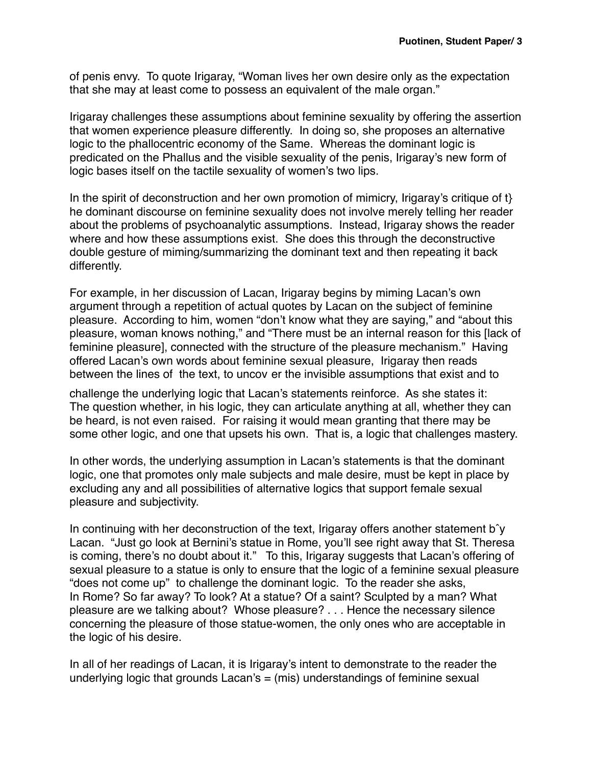of penis envy. To quote Irigaray, "Woman lives her own desire only as the expectation that she may at least come to possess an equivalent of the male organ."

Irigaray challenges these assumptions about feminine sexuality by offering the assertion that women experience pleasure differently. In doing so, she proposes an alternative logic to the phallocentric economy of the Same. Whereas the dominant logic is predicated on the Phallus and the visible sexuality of the penis, Irigaray's new form of logic bases itself on the tactile sexuality of women's two lips.

In the spirit of deconstruction and her own promotion of mimicry, Irigaray's critique of  $\mathfrak h$ he dominant discourse on feminine sexuality does not involve merely telling her reader about the problems of psychoanalytic assumptions. Instead, Irigaray shows the reader where and how these assumptions exist. She does this through the deconstructive double gesture of miming/summarizing the dominant text and then repeating it back differently.

For example, in her discussion of Lacan, Irigaray begins by miming Lacan's own argument through a repetition of actual quotes by Lacan on the subject of feminine pleasure. According to him, women "don't know what they are saying," and "about this pleasure, woman knows nothing," and "There must be an internal reason for this [lack of feminine pleasure], connected with the structure of the pleasure mechanism." Having offered Lacan's own words about feminine sexual pleasure, Irigaray then reads between the lines of the text, to uncov er the invisible assumptions that exist and to

challenge the underlying logic that Lacan's statements reinforce. As she states it: The question whether, in his logic, they can articulate anything at all, whether they can be heard, is not even raised. For raising it would mean granting that there may be some other logic, and one that upsets his own. That is, a logic that challenges mastery.

In other words, the underlying assumption in Lacan's statements is that the dominant logic, one that promotes only male subjects and male desire, must be kept in place by excluding any and all possibilities of alternative logics that support female sexual pleasure and subjectivity.

In continuing with her deconstruction of the text, Irigaray offers another statement bˆy Lacan. "Just go look at Bernini's statue in Rome, you'll see right away that St. Theresa is coming, there's no doubt about it." To this, Irigaray suggests that Lacan's offering of sexual pleasure to a statue is only to ensure that the logic of a feminine sexual pleasure "does not come up" to challenge the dominant logic. To the reader she asks, In Rome? So far away? To look? At a statue? Of a saint? Sculpted by a man? What pleasure are we talking about? Whose pleasure? . . . Hence the necessary silence concerning the pleasure of those statue-women, the only ones who are acceptable in the logic of his desire.

In all of her readings of Lacan, it is Irigaray's intent to demonstrate to the reader the underlying logic that grounds Lacan's = (mis) understandings of feminine sexual